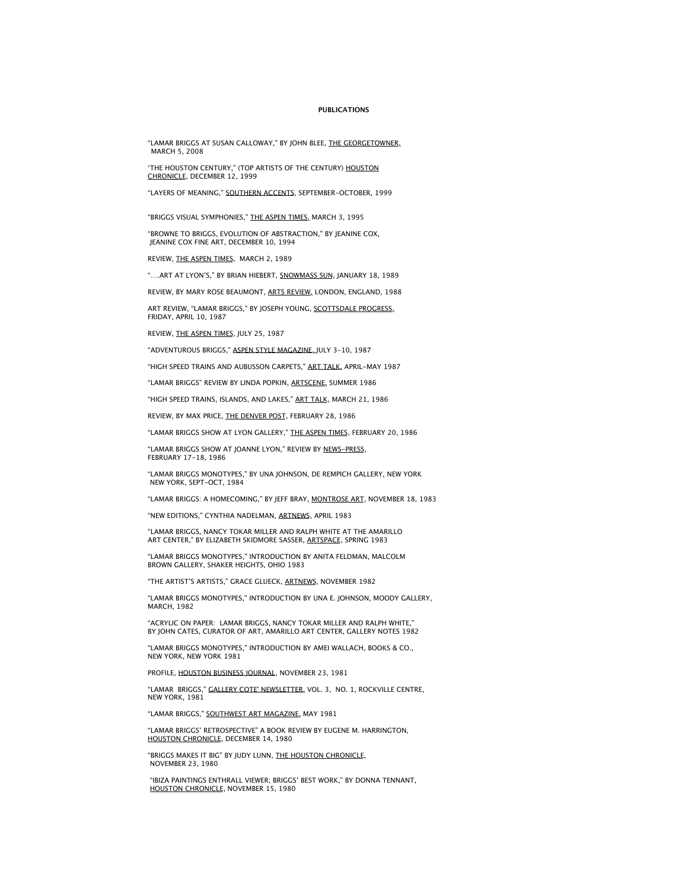## **PUBLICATIONS**

"LAMAR BRIGGS AT SUSAN CALLOWAY," BY JOHN BLEE, THE GEORGETOWNER, MARCH 5, 2008

'THE HOUSTON CENTURY," (TOP ARTISTS OF THE CENTURY) <u>HOUSTON</u><br>CHRONICLE, DECEMBER 12, 1999

"LAYERS OF MEANING," SOUTHERN ACCENTS, SEPTEMBER-OCTOBER, 1999

"BRIGGS VISUAL SYMPHONIES," THE ASPEN TIMES, MARCH 3, 1995

"BROWNE TO BRIGGS, EVOLUTION OF ABSTRACTION," BY JEANINE COX, JEANINE COX FINE ART, DECEMBER 10, 1994

REVIEW, THE ASPEN TIMES, MARCH 2, 1989

"….ART AT LYON'S," BY BRIAN HIEBERT, SNOWMASS SUN, JANUARY 18, 1989

REVIEW, BY MARY ROSE BEAUMONT, ARTS REVIEW, LONDON, ENGLAND, 1988

ART REVIEW, "LAMAR BRIGGS," BY JOSEPH YOUNG, SCOTTSDALE PROGRESS, FRIDAY, APRIL 10, 1987

REVIEW, THE ASPEN TIMES, JULY 25, 1987

"ADVENTUROUS BRIGGS," ASPEN STYLE MAGAZINE, JULY 3-10, 1987

"HIGH SPEED TRAINS AND AUBUSSON CARPETS," ART TALK, APRIL-MAY 1987

"LAMAR BRIGGS" REVIEW BY LINDA POPKIN, ARTSCENE, SUMMER 1986

"HIGH SPEED TRAINS, ISLANDS, AND LAKES," ART TALK, MARCH 21, 1986

REVIEW, BY MAX PRICE, THE DENVER POST, FEBRUARY 28, 1986

"LAMAR BRIGGS SHOW AT LYON GALLERY," THE ASPEN TIMES, FEBRUARY 20, 1986

"LAMAR BRIGGS SHOW AT JOANNE LYON," REVIEW BY NEWS-PRESS, FEBRUARY 17-18, 1986

"LAMAR BRIGGS MONOTYPES," BY UNA JOHNSON, DE REMPICH GALLERY, NEW YORK NEW YORK, SEPT-OCT, 1984

"LAMAR BRIGGS: A HOMECOMING," BY JEFF BRAY, MONTROSE ART, NOVEMBER 18, 1983

"NEW EDITIONS," CYNTHIA NADELMAN, ARTNEWS, APRIL 1983

"LAMAR BRIGGS, NANCY TOKAR MILLER AND RALPH WHITE AT THE AMARILLO ART CENTER," BY ELIZABETH SKIDMORE SASSER, ARTSPACE, SPRING 1983

"LAMAR BRIGGS MONOTYPES," INTRODUCTION BY ANITA FELDMAN, MALCOLM BROWN GALLERY, SHAKER HEIGHTS, OHIO 1983

"THE ARTIST'S ARTISTS," GRACE GLUECK, ARTNEWS, NOVEMBER 1982

"LAMAR BRIGGS MONOTYPES," INTRODUCTION BY UNA E. JOHNSON, MOODY GALLERY, MARCH, 1982

"ACRYLIC ON PAPER: LAMAR BRIGGS, NANCY TOKAR MILLER AND RALPH WHITE," BY JOHN CATES, CURATOR OF ART, AMARILLO ART CENTER, GALLERY NOTES 1982

"LAMAR BRIGGS MONOTYPES," INTRODUCTION BY AMEI WALLACH, BOOKS & CO., NEW YORK, NEW YORK 1981

PROFILE, HOUSTON BUSINESS JOURNAL, NOVEMBER 23, 1981

"LAMAR BRIGGS," GALLERY COTE' NEWSLETTER, VOL. 3, NO. 1, ROCKVILLE CENTRE, NEW YORK, 1981

"LAMAR BRIGGS," SOUTHWEST ART MAGAZINE, MAY 1981

"LAMAR BRIGGS' RETROSPECTIVE" A BOOK REVIEW BY EUGENE M. HARRINGTON, HOUSTON CHRONICLE, DECEMBER 14, 1980

"BRIGGS MAKES IT BIG" BY JUDY LUNN, THE HOUSTON CHRONICLE, NOVEMBER 23, 1980

 "IBIZA PAINTINGS ENTHRALL VIEWER; BRIGGS' BEST WORK," BY DONNA TENNANT, HOUSTON CHRONICLE, NOVEMBER 15, 1980